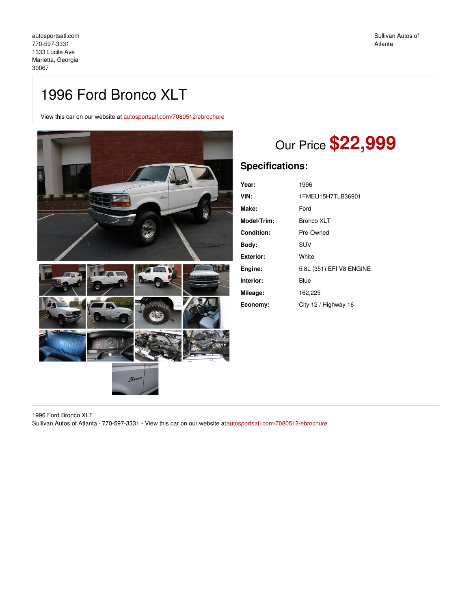# 1996 Ford Bronco XLT

View this car on our website at [autosportsatl.com/7080512/ebrochure](https://autosportsatl.com/vehicle/7080512/1996-ford-bronco-xlt-marietta-georgia-30067/7080512/ebrochure)



# Our Price **\$22,999**

### **Specifications:**

| Year:       | 1996                     |
|-------------|--------------------------|
| VIN:        | 1FMEU15H7TLB36901        |
| Make:       | Ford                     |
| Model/Trim: | Bronco XLT               |
| Condition:  | Pre-Owned                |
| Bodv:       | <b>SUV</b>               |
| Exterior:   | White                    |
| Engine:     | 5.8L (351) EFI V8 ENGINE |
| Interior:   | Blue                     |
| Mileage:    | 162,225                  |
| Economy:    | City 12 / Highway 16     |

1996 Ford Bronco XLT Sullivan Autos of Atlanta - 770-597-3331 - View this car on our website a[tautosportsatl.com/7080512/ebrochure](https://autosportsatl.com/vehicle/7080512/1996-ford-bronco-xlt-marietta-georgia-30067/7080512/ebrochure)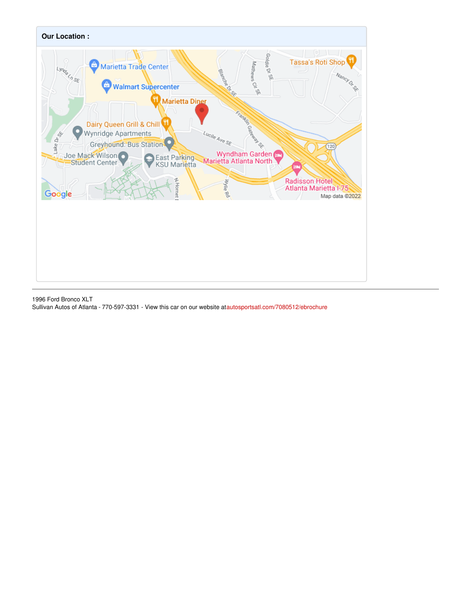

1996 Ford Bronco XLT Sullivan Autos of Atlanta - 770-597-3331 - View this car on our website a[tautosportsatl.com/7080512/ebrochure](https://autosportsatl.com/vehicle/7080512/1996-ford-bronco-xlt-marietta-georgia-30067/7080512/ebrochure)